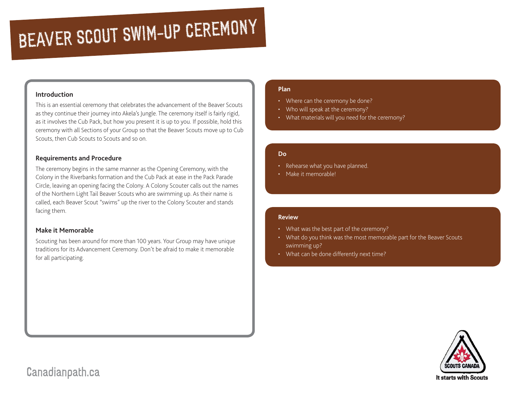# BEAVER SCOUT SWIM-UP CEREMONY

#### **Introduction**

This is an essential ceremony that celebrates the advancement of the Beaver Scouts as they continue their journey into Akela's Jungle. The ceremony itself is fairly rigid, as it involves the Cub Pack, but how you present it is up to you. If possible, hold this ceremony with all Sections of your Group so that the Beaver Scouts move up to Cub Scouts, then Cub Scouts to Scouts and so on.

## **Requirements and Procedure**

The ceremony begins in the same manner as the Opening Ceremony, with the Colony in the Riverbanks formation and the Cub Pack at ease in the Pack Parade Circle, leaving an opening facing the Colony. A Colony Scouter calls out the names of the Northern Light Tail Beaver Scouts who are swimming up. As their name is called, each Beaver Scout "swims" up the river to the Colony Scouter and stands facing them.

## **Make it Memorable**

Scouting has been around for more than 100 years. Your Group may have unique traditions for its Advancement Ceremony. Don't be afraid to make it memorable for all participating.

# **Plan**

- Where can the ceremony be done?
- Who will speak at the ceremony?
- What materials will you need for the ceremony?

#### **Do**

- Rehearse what you have planned.
- Make it memorable!

#### **Review**

- What was the best part of the ceremony?
- What do you think was the most memorable part for the Beaver Scouts swimming up?
- What can be done differently next time?



Canadianpath.ca